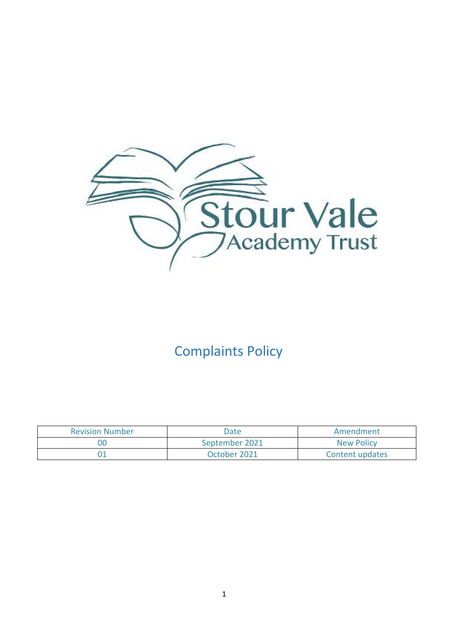

# Complaints Policy

| <b>Revision Number</b> | Date           | Amendment         |
|------------------------|----------------|-------------------|
| 00                     | September 2021 | <b>New Policy</b> |
|                        | October 2021   | Content updates   |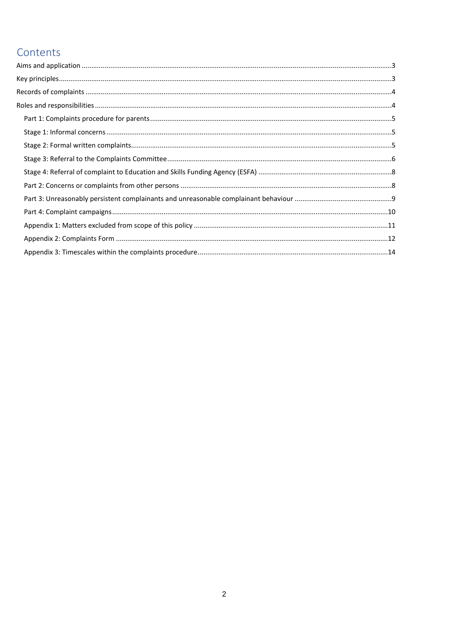## Contents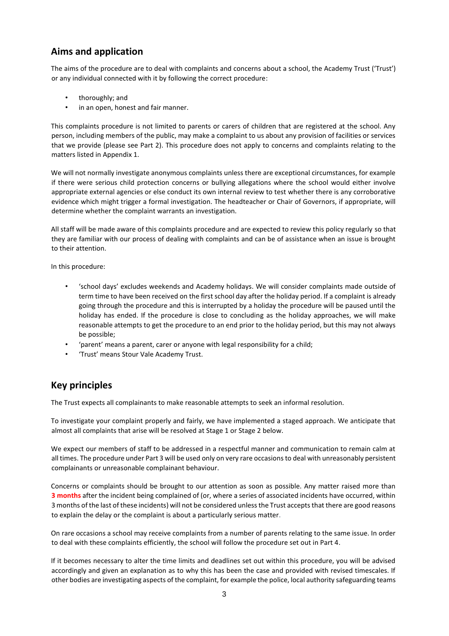## <span id="page-2-0"></span>**Aims and application**

The aims of the procedure are to deal with complaints and concerns about a school, the Academy Trust ('Trust') or any individual connected with it by following the correct procedure:

- thoroughly; and
- in an open, honest and fair manner.

This complaints procedure is not limited to parents or carers of children that are registered at the school. Any person, including members of the public, may make a complaint to us about any provision of facilities or services that we provide (please see Part 2). This procedure does not apply to concerns and complaints relating to the matters listed in Appendix 1.

We will not normally investigate anonymous complaints unless there are exceptional circumstances, for example if there were serious child protection concerns or bullying allegations where the school would either involve appropriate external agencies or else conduct its own internal review to test whether there is any corroborative evidence which might trigger a formal investigation. The headteacher or Chair of Governors, if appropriate, will determine whether the complaint warrants an investigation.

All staff will be made aware of this complaints procedure and are expected to review this policy regularly so that they are familiar with our process of dealing with complaints and can be of assistance when an issue is brought to their attention.

In this procedure:

- 'school days' excludes weekends and Academy holidays. We will consider complaints made outside of term time to have been received on the first school day after the holiday period. If a complaint is already going through the procedure and this is interrupted by a holiday the procedure will be paused until the holiday has ended. If the procedure is close to concluding as the holiday approaches, we will make reasonable attempts to get the procedure to an end prior to the holiday period, but this may not always be possible;
- 'parent' means a parent, carer or anyone with legal responsibility for a child;
- 'Trust' means Stour Vale Academy Trust.

### <span id="page-2-1"></span>**Key principles**

The Trust expects all complainants to make reasonable attempts to seek an informal resolution.

To investigate your complaint properly and fairly, we have implemented a staged approach. We anticipate that almost all complaints that arise will be resolved at Stage 1 or Stage 2 below.

We expect our members of staff to be addressed in a respectful manner and communication to remain calm at all times. The procedure under Part 3 will be used only on very rare occasions to deal with unreasonably persistent complainants or unreasonable complainant behaviour.

Concerns or complaints should be brought to our attention as soon as possible. Any matter raised more than **3 months** after the incident being complained of (or, where a series of associated incidents have occurred, within 3 months of the last of these incidents) will not be considered unless the Trust accepts that there are good reasons to explain the delay or the complaint is about a particularly serious matter.

On rare occasions a school may receive complaints from a number of parents relating to the same issue. In order to deal with these complaints efficiently, the school will follow the procedure set out in Part 4.

If it becomes necessary to alter the time limits and deadlines set out within this procedure, you will be advised accordingly and given an explanation as to why this has been the case and provided with revised timescales. If other bodies are investigating aspects of the complaint, for example the police, local authority safeguarding teams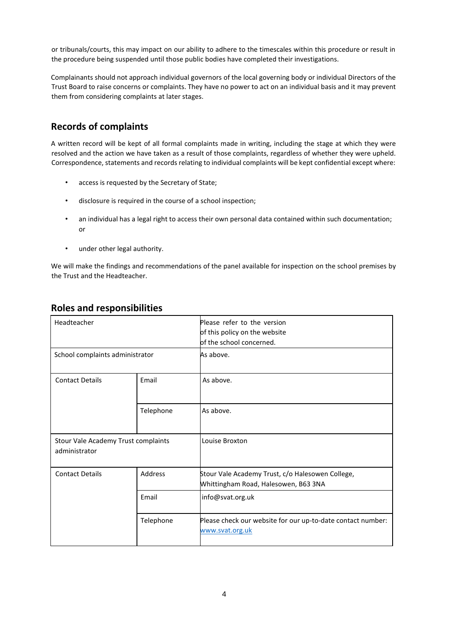or tribunals/courts, this may impact on our ability to adhere to the timescales within this procedure or result in the procedure being suspended until those public bodies have completed their investigations.

Complainants should not approach individual governors of the local governing body or individual Directors of the Trust Board to raise concerns or complaints. They have no power to act on an individual basis and it may prevent them from considering complaints at later stages.

## <span id="page-3-0"></span>**Records of complaints**

A written record will be kept of all formal complaints made in writing, including the stage at which they were resolved and the action we have taken as a result of those complaints, regardless of whether they were upheld. Correspondence, statements and records relating to individual complaints will be kept confidential except where:

- access is requested by the Secretary of State;
- disclosure is required in the course of a school inspection;
- an individual has a legal right to access their own personal data contained within such documentation; or
- under other legal authority.

We will make the findings and recommendations of the panel available for inspection on the school premises by the Trust and the Headteacher.

| Headteacher                                          |                | Please refer to the version<br>of this policy on the website<br>of the school concerned. |  |
|------------------------------------------------------|----------------|------------------------------------------------------------------------------------------|--|
| School complaints administrator                      |                | As above.                                                                                |  |
| <b>Contact Details</b>                               | Email          | As above.                                                                                |  |
|                                                      | Telephone      | As above.                                                                                |  |
| Stour Vale Academy Trust complaints<br>administrator |                | Louise Broxton                                                                           |  |
| <b>Contact Details</b>                               | <b>Address</b> | Stour Vale Academy Trust, c/o Halesowen College,<br>Whittingham Road, Halesowen, B63 3NA |  |
|                                                      | Email          | info@svat.org.uk                                                                         |  |
|                                                      | Telephone      | Please check our website for our up-to-date contact number:<br>www.svat.org.uk           |  |

### <span id="page-3-1"></span>**Roles and responsibilities**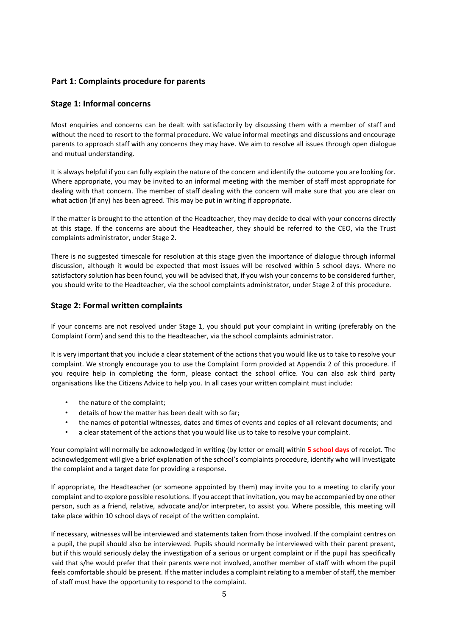#### <span id="page-4-0"></span>**Part 1: Complaints procedure for parents**

#### <span id="page-4-1"></span>**Stage 1: Informal concerns**

Most enquiries and concerns can be dealt with satisfactorily by discussing them with a member of staff and without the need to resort to the formal procedure. We value informal meetings and discussions and encourage parents to approach staff with any concerns they may have. We aim to resolve all issues through open dialogue and mutual understanding.

It is always helpful if you can fully explain the nature of the concern and identify the outcome you are looking for. Where appropriate, you may be invited to an informal meeting with the member of staff most appropriate for dealing with that concern. The member of staff dealing with the concern will make sure that you are clear on what action (if any) has been agreed. This may be put in writing if appropriate.

If the matter is brought to the attention of the Headteacher, they may decide to deal with your concerns directly at this stage. If the concerns are about the Headteacher, they should be referred to the CEO, via the Trust complaints administrator, under Stage 2.

There is no suggested timescale for resolution at this stage given the importance of dialogue through informal discussion, although it would be expected that most issues will be resolved within 5 school days. Where no satisfactory solution has been found, you will be advised that, if you wish your concerns to be considered further, you should write to the Headteacher, via the school complaints administrator, under Stage 2 of this procedure.

#### <span id="page-4-2"></span>**Stage 2: Formal written complaints**

If your concerns are not resolved under Stage 1, you should put your complaint in writing (preferably on the Complaint Form) and send this to the Headteacher, via the school complaints administrator.

It is very important that you include a clear statement of the actions that you would like us to take to resolve your complaint. We strongly encourage you to use the Complaint Form provided at Appendix 2 of this procedure. If you require help in completing the form, please contact the school office. You can also ask third party organisations like the Citizens Advice to help you. In all cases your written complaint must include:

- the nature of the complaint;
- details of how the matter has been dealt with so far;
- the names of potential witnesses, dates and times of events and copies of all relevant documents; and
- a clear statement of the actions that you would like us to take to resolve your complaint.

Your complaint will normally be acknowledged in writing (by letter or email) within **5 school days** of receipt. The acknowledgement will give a brief explanation of the school's complaints procedure, identify who will investigate the complaint and a target date for providing a response.

If appropriate, the Headteacher (or someone appointed by them) may invite you to a meeting to clarify your complaint and to explore possible resolutions. If you accept that invitation, you may be accompanied by one other person, such as a friend, relative, advocate and/or interpreter, to assist you. Where possible, this meeting will take place within 10 school days of receipt of the written complaint.

If necessary, witnesses will be interviewed and statements taken from those involved. If the complaint centres on a pupil, the pupil should also be interviewed. Pupils should normally be interviewed with their parent present, but if this would seriously delay the investigation of a serious or urgent complaint or if the pupil has specifically said that s/he would prefer that their parents were not involved, another member of staff with whom the pupil feels comfortable should be present. If the matter includes a complaint relating to a member of staff, the member of staff must have the opportunity to respond to the complaint.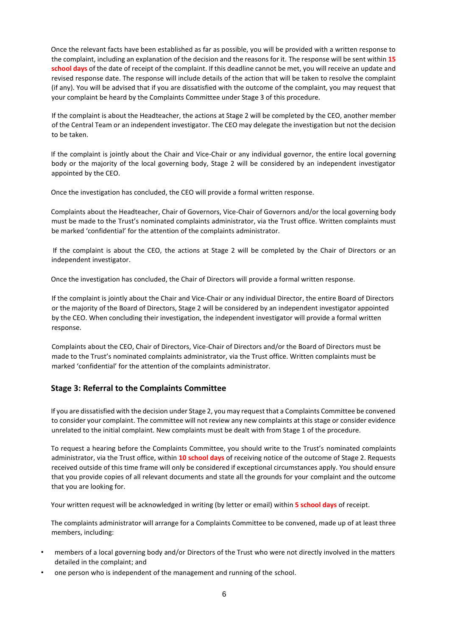Once the relevant facts have been established as far as possible, you will be provided with a written response to the complaint, including an explanation of the decision and the reasons for it. The response will be sent within **15 school days** of the date of receipt of the complaint. If this deadline cannot be met, you will receive an update and revised response date. The response will include details of the action that will be taken to resolve the complaint (if any). You will be advised that if you are dissatisfied with the outcome of the complaint, you may request that your complaint be heard by the Complaints Committee under Stage 3 of this procedure.

If the complaint is about the Headteacher, the actions at Stage 2 will be completed by the CEO, another member of the Central Team or an independent investigator. The CEO may delegate the investigation but not the decision to be taken.

If the complaint is jointly about the Chair and Vice-Chair or any individual governor, the entire local governing body or the majority of the local governing body, Stage 2 will be considered by an independent investigator appointed by the CEO.

Once the investigation has concluded, the CEO will provide a formal written response.

Complaints about the Headteacher, Chair of Governors, Vice-Chair of Governors and/or the local governing body must be made to the Trust's nominated complaints administrator, via the Trust office. Written complaints must be marked 'confidential' for the attention of the complaints administrator.

If the complaint is about the CEO, the actions at Stage 2 will be completed by the Chair of Directors or an independent investigator.

Once the investigation has concluded, the Chair of Directors will provide a formal written response.

If the complaint is jointly about the Chair and Vice-Chair or any individual Director, the entire Board of Directors or the majority of the Board of Directors, Stage 2 will be considered by an independent investigator appointed by the CEO. When concluding their investigation, the independent investigator will provide a formal written response.

Complaints about the CEO, Chair of Directors, Vice-Chair of Directors and/or the Board of Directors must be made to the Trust's nominated complaints administrator, via the Trust office. Written complaints must be marked 'confidential' for the attention of the complaints administrator.

#### <span id="page-5-0"></span>**Stage 3: Referral to the Complaints Committee**

If you are dissatisfied with the decision under Stage 2, you may request that a Complaints Committee be convened to consider your complaint. The committee will not review any new complaints at this stage or consider evidence unrelated to the initial complaint. New complaints must be dealt with from Stage 1 of the procedure.

To request a hearing before the Complaints Committee, you should write to the Trust's nominated complaints administrator, via the Trust office, within **10 school days** of receiving notice of the outcome of Stage 2. Requests received outside of this time frame will only be considered if exceptional circumstances apply. You should ensure that you provide copies of all relevant documents and state all the grounds for your complaint and the outcome that you are looking for.

Your written request will be acknowledged in writing (by letter or email) within **5 school days** of receipt.

The complaints administrator will arrange for a Complaints Committee to be convened, made up of at least three members, including:

- members of a local governing body and/or Directors of the Trust who were not directly involved in the matters detailed in the complaint; and
- one person who is independent of the management and running of the school.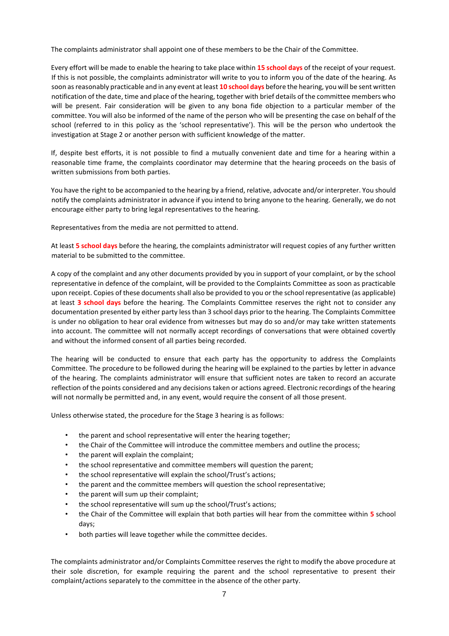The complaints administrator shall appoint one of these members to be the Chair of the Committee.

Every effort will be made to enable the hearing to take place within **15 school days** of the receipt of your request. If this is not possible, the complaints administrator will write to you to inform you of the date of the hearing. As soon as reasonably practicable and in any event at least **10 school days** before the hearing, you will be sent written notification of the date, time and place of the hearing, together with brief details of the committee members who will be present. Fair consideration will be given to any bona fide objection to a particular member of the committee. You will also be informed of the name of the person who will be presenting the case on behalf of the school (referred to in this policy as the 'school representative'). This will be the person who undertook the investigation at Stage 2 or another person with sufficient knowledge of the matter.

If, despite best efforts, it is not possible to find a mutually convenient date and time for a hearing within a reasonable time frame, the complaints coordinator may determine that the hearing proceeds on the basis of written submissions from both parties.

You have the right to be accompanied to the hearing by a friend, relative, advocate and/or interpreter. You should notify the complaints administrator in advance if you intend to bring anyone to the hearing. Generally, we do not encourage either party to bring legal representatives to the hearing.

Representatives from the media are not permitted to attend.

At least **5 school days** before the hearing, the complaints administrator will request copies of any further written material to be submitted to the committee.

A copy of the complaint and any other documents provided by you in support of your complaint, or by the school representative in defence of the complaint, will be provided to the Complaints Committee as soon as practicable upon receipt. Copies of these documents shall also be provided to you or the school representative (as applicable) at least **3 school days** before the hearing. The Complaints Committee reserves the right not to consider any documentation presented by either party less than 3 school days prior to the hearing. The Complaints Committee is under no obligation to hear oral evidence from witnesses but may do so and/or may take written statements into account. The committee will not normally accept recordings of conversations that were obtained covertly and without the informed consent of all parties being recorded.

The hearing will be conducted to ensure that each party has the opportunity to address the Complaints Committee. The procedure to be followed during the hearing will be explained to the parties by letter in advance of the hearing. The complaints administrator will ensure that sufficient notes are taken to record an accurate reflection of the points considered and any decisions taken or actions agreed. Electronic recordings of the hearing will not normally be permitted and, in any event, would require the consent of all those present.

Unless otherwise stated, the procedure for the Stage 3 hearing is as follows:

- the parent and school representative will enter the hearing together;
- the Chair of the Committee will introduce the committee members and outline the process;
- the parent will explain the complaint;
- the school representative and committee members will question the parent;
- the school representative will explain the school/Trust's actions;
- the parent and the committee members will question the school representative;
- the parent will sum up their complaint;
- the school representative will sum up the school/Trust's actions;
- the Chair of the Committee will explain that both parties will hear from the committee within **5** school days;
- both parties will leave together while the committee decides.

The complaints administrator and/or Complaints Committee reserves the right to modify the above procedure at their sole discretion, for example requiring the parent and the school representative to present their complaint/actions separately to the committee in the absence of the other party.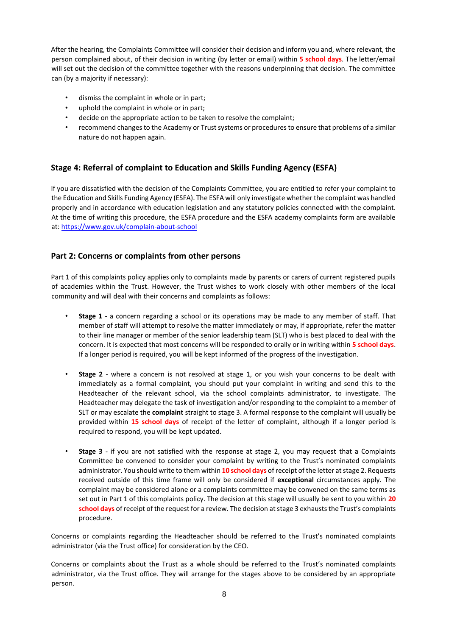After the hearing, the Complaints Committee will consider their decision and inform you and, where relevant, the person complained about, of their decision in writing (by letter or email) within **5 school days**. The letter/email will set out the decision of the committee together with the reasons underpinning that decision. The committee can (by a majority if necessary):

- dismiss the complaint in whole or in part;
- uphold the complaint in whole or in part;
- decide on the appropriate action to be taken to resolve the complaint;
- recommend changes to the Academy or Trust systems or procedures to ensure that problems of a similar nature do not happen again.

#### <span id="page-7-0"></span>**Stage 4: Referral of complaint to Education and Skills Funding Agency (ESFA)**

If you are dissatisfied with the decision of the Complaints Committee, you are entitled to refer your complaint to the Education and Skills Funding Agency (ESFA). The ESFA will only investigate whether the complaint was handled properly and in accordance with education legislation and any statutory policies connected with the complaint. At the time of writing this procedure, the ESFA procedure and the ESFA academy complaints form are available a[t: https://www.gov.uk/complain-about-school](https://www.gov.uk/complain-about-school)

#### <span id="page-7-1"></span>**Part 2: Concerns or complaints from other persons**

Part 1 of this complaints policy applies only to complaints made by parents or carers of current registered pupils of academies within the Trust. However, the Trust wishes to work closely with other members of the local community and will deal with their concerns and complaints as follows:

- **Stage 1** a concern regarding a school or its operations may be made to any member of staff. That member of staff will attempt to resolve the matter immediately or may, if appropriate, refer the matter to their line manager or member of the senior leadership team (SLT) who is best placed to deal with the concern. It is expected that most concerns will be responded to orally or in writing within **5 school days**. If a longer period is required, you will be kept informed of the progress of the investigation.
- **Stage 2** where a concern is not resolved at stage 1, or you wish your concerns to be dealt with immediately as a formal complaint, you should put your complaint in writing and send this to the Headteacher of the relevant school, via the school complaints administrator, to investigate. The Headteacher may delegate the task of investigation and/or responding to the complaint to a member of SLT or may escalate the **complaint** straight to stage 3. A formal response to the complaint will usually be provided within **15 school days** of receipt of the letter of complaint, although if a longer period is required to respond, you will be kept updated.
- **Stage 3** if you are not satisfied with the response at stage 2, you may request that a Complaints Committee be convened to consider your complaint by writing to the Trust's nominated complaints administrator. You should write to them within **10 school days** of receipt of the letter at stage 2. Requests received outside of this time frame will only be considered if **exceptional** circumstances apply. The complaint may be considered alone or a complaints committee may be convened on the same terms as set out in Part 1 of this complaints policy. The decision at this stage will usually be sent to you within **20 school days** of receipt of the request for a review. The decision at stage 3 exhausts the Trust's complaints procedure.

Concerns or complaints regarding the Headteacher should be referred to the Trust's nominated complaints administrator (via the Trust office) for consideration by the CEO.

Concerns or complaints about the Trust as a whole should be referred to the Trust's nominated complaints administrator, via the Trust office. They will arrange for the stages above to be considered by an appropriate person.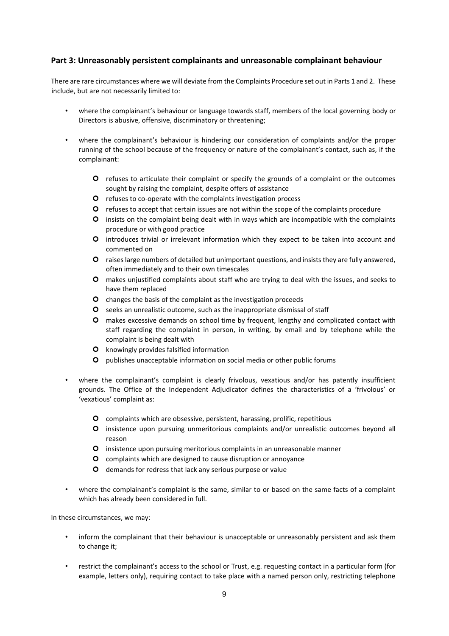#### <span id="page-8-0"></span>**Part 3: Unreasonably persistent complainants and unreasonable complainant behaviour**

There are rare circumstances where we will deviate from the Complaints Procedure set out in Parts 1 and 2. These include, but are not necessarily limited to:

- where the complainant's behaviour or language towards staff, members of the local governing body or Directors is abusive, offensive, discriminatory or threatening;
- where the complainant's behaviour is hindering our consideration of complaints and/or the proper running of the school because of the frequency or nature of the complainant's contact, such as, if the complainant:
	- refuses to articulate their complaint or specify the grounds of a complaint or the outcomes sought by raising the complaint, despite offers of assistance
	- **O** refuses to co-operate with the complaints investigation process
	- refuses to accept that certain issues are not within the scope of the complaints procedure
	- insists on the complaint being dealt with in ways which are incompatible with the complaints procedure or with good practice
	- introduces trivial or irrelevant information which they expect to be taken into account and commented on
	- raises large numbers of detailed but unimportant questions, and insists they are fully answered, often immediately and to their own timescales
	- makes unjustified complaints about staff who are trying to deal with the issues, and seeks to have them replaced
	- **O** changes the basis of the complaint as the investigation proceeds
	- O seeks an unrealistic outcome, such as the inappropriate dismissal of staff
	- makes excessive demands on school time by frequent, lengthy and complicated contact with staff regarding the complaint in person, in writing, by email and by telephone while the complaint is being dealt with
	- **O** knowingly provides falsified information
	- **O** publishes unacceptable information on social media or other public forums
- where the complainant's complaint is clearly frivolous, vexatious and/or has patently insufficient grounds. The Office of the Independent Adjudicator defines the characteristics of a 'frivolous' or 'vexatious' complaint as:
	- complaints which are obsessive, persistent, harassing, prolific, repetitious
	- insistence upon pursuing unmeritorious complaints and/or unrealistic outcomes beyond all reason
	- **O** insistence upon pursuing meritorious complaints in an unreasonable manner
	- **O** complaints which are designed to cause disruption or annoyance
	- **O** demands for redress that lack any serious purpose or value
- where the complainant's complaint is the same, similar to or based on the same facts of a complaint which has already been considered in full.

In these circumstances, we may:

- inform the complainant that their behaviour is unacceptable or unreasonably persistent and ask them to change it;
- restrict the complainant's access to the school or Trust, e.g. requesting contact in a particular form (for example, letters only), requiring contact to take place with a named person only, restricting telephone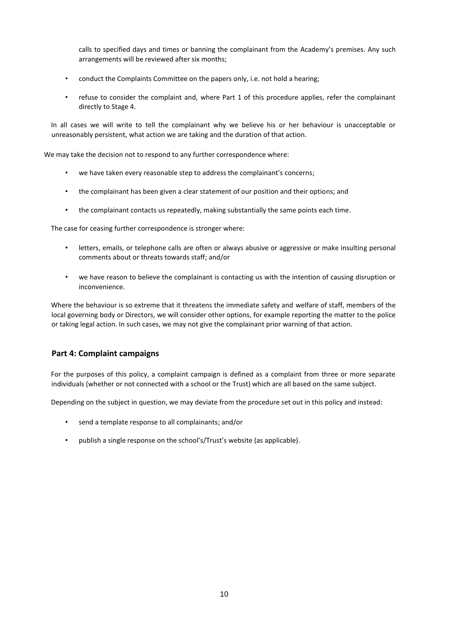calls to specified days and times or banning the complainant from the Academy's premises. Any such arrangements will be reviewed after six months;

- conduct the Complaints Committee on the papers only, i.e. not hold a hearing;
- refuse to consider the complaint and, where Part 1 of this procedure applies, refer the complainant directly to Stage 4.

In all cases we will write to tell the complainant why we believe his or her behaviour is unacceptable or unreasonably persistent, what action we are taking and the duration of that action.

We may take the decision not to respond to any further correspondence where:

- we have taken every reasonable step to address the complainant's concerns;
- the complainant has been given a clear statement of our position and their options; and
- the complainant contacts us repeatedly, making substantially the same points each time.

The case for ceasing further correspondence is stronger where:

- letters, emails, or telephone calls are often or always abusive or aggressive or make insulting personal comments about or threats towards staff; and/or
- we have reason to believe the complainant is contacting us with the intention of causing disruption or inconvenience.

Where the behaviour is so extreme that it threatens the immediate safety and welfare of staff, members of the local governing body or Directors, we will consider other options, for example reporting the matter to the police or taking legal action. In such cases, we may not give the complainant prior warning of that action.

#### <span id="page-9-0"></span>**Part 4: Complaint campaigns**

For the purposes of this policy, a complaint campaign is defined as a complaint from three or more separate individuals (whether or not connected with a school or the Trust) which are all based on the same subject.

Depending on the subject in question, we may deviate from the procedure set out in this policy and instead:

- send a template response to all complainants; and/or
- publish a single response on the school's/Trust's website (as applicable).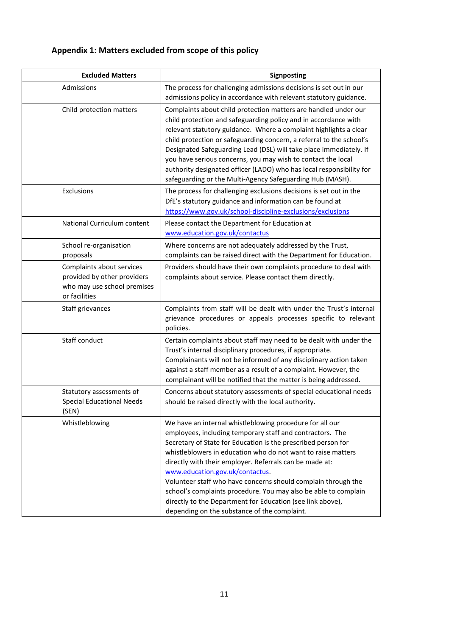## **Appendix 1: Matters excluded from scope of this policy**

<span id="page-10-0"></span>

| <b>Excluded Matters</b>                                                                                  | Signposting                                                                                                                                                                                                                                                                                                                                                                                                                                                                                                                                                                                            |
|----------------------------------------------------------------------------------------------------------|--------------------------------------------------------------------------------------------------------------------------------------------------------------------------------------------------------------------------------------------------------------------------------------------------------------------------------------------------------------------------------------------------------------------------------------------------------------------------------------------------------------------------------------------------------------------------------------------------------|
| Admissions                                                                                               | The process for challenging admissions decisions is set out in our<br>admissions policy in accordance with relevant statutory guidance.                                                                                                                                                                                                                                                                                                                                                                                                                                                                |
| Child protection matters                                                                                 | Complaints about child protection matters are handled under our<br>child protection and safeguarding policy and in accordance with<br>relevant statutory guidance. Where a complaint highlights a clear<br>child protection or safeguarding concern, a referral to the school's<br>Designated Safeguarding Lead (DSL) will take place immediately. If<br>you have serious concerns, you may wish to contact the local<br>authority designated officer (LADO) who has local responsibility for<br>safeguarding or the Multi-Agency Safeguarding Hub (MASH).                                             |
| Exclusions                                                                                               | The process for challenging exclusions decisions is set out in the<br>DfE's statutory guidance and information can be found at<br>https://www.gov.uk/school-discipline-exclusions/exclusions                                                                                                                                                                                                                                                                                                                                                                                                           |
| National Curriculum content                                                                              | Please contact the Department for Education at<br>www.education.gov.uk/contactus                                                                                                                                                                                                                                                                                                                                                                                                                                                                                                                       |
| School re-organisation<br>proposals                                                                      | Where concerns are not adequately addressed by the Trust,<br>complaints can be raised direct with the Department for Education.                                                                                                                                                                                                                                                                                                                                                                                                                                                                        |
| Complaints about services<br>provided by other providers<br>who may use school premises<br>or facilities | Providers should have their own complaints procedure to deal with<br>complaints about service. Please contact them directly.                                                                                                                                                                                                                                                                                                                                                                                                                                                                           |
| Staff grievances                                                                                         | Complaints from staff will be dealt with under the Trust's internal<br>grievance procedures or appeals processes specific to relevant<br>policies.                                                                                                                                                                                                                                                                                                                                                                                                                                                     |
| Staff conduct                                                                                            | Certain complaints about staff may need to be dealt with under the<br>Trust's internal disciplinary procedures, if appropriate.<br>Complainants will not be informed of any disciplinary action taken<br>against a staff member as a result of a complaint. However, the<br>complainant will be notified that the matter is being addressed.                                                                                                                                                                                                                                                           |
| Statutory assessments of<br><b>Special Educational Needs</b><br>(SEN)                                    | Concerns about statutory assessments of special educational needs<br>should be raised directly with the local authority.                                                                                                                                                                                                                                                                                                                                                                                                                                                                               |
| Whistleblowing                                                                                           | We have an internal whistleblowing procedure for all our<br>employees, including temporary staff and contractors. The<br>Secretary of State for Education is the prescribed person for<br>whistleblowers in education who do not want to raise matters<br>directly with their employer. Referrals can be made at:<br>www.education.gov.uk/contactus.<br>Volunteer staff who have concerns should complain through the<br>school's complaints procedure. You may also be able to complain<br>directly to the Department for Education (see link above),<br>depending on the substance of the complaint. |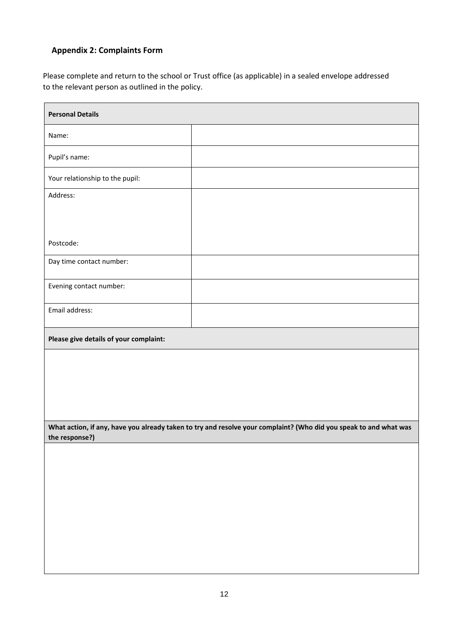## <span id="page-11-0"></span>**Appendix 2: Complaints Form**

Please complete and return to the school or Trust office (as applicable) in a sealed envelope addressed to the relevant person as outlined in the policy.

| <b>Personal Details</b>                |                                                                                                                   |  |
|----------------------------------------|-------------------------------------------------------------------------------------------------------------------|--|
| Name:                                  |                                                                                                                   |  |
| Pupil's name:                          |                                                                                                                   |  |
| Your relationship to the pupil:        |                                                                                                                   |  |
| Address:                               |                                                                                                                   |  |
|                                        |                                                                                                                   |  |
| Postcode:                              |                                                                                                                   |  |
| Day time contact number:               |                                                                                                                   |  |
| Evening contact number:                |                                                                                                                   |  |
| Email address:                         |                                                                                                                   |  |
| Please give details of your complaint: |                                                                                                                   |  |
|                                        |                                                                                                                   |  |
|                                        |                                                                                                                   |  |
|                                        |                                                                                                                   |  |
| the response?)                         | What action, if any, have you already taken to try and resolve your complaint? (Who did you speak to and what was |  |
|                                        |                                                                                                                   |  |
|                                        |                                                                                                                   |  |
|                                        |                                                                                                                   |  |
|                                        |                                                                                                                   |  |
|                                        |                                                                                                                   |  |
|                                        |                                                                                                                   |  |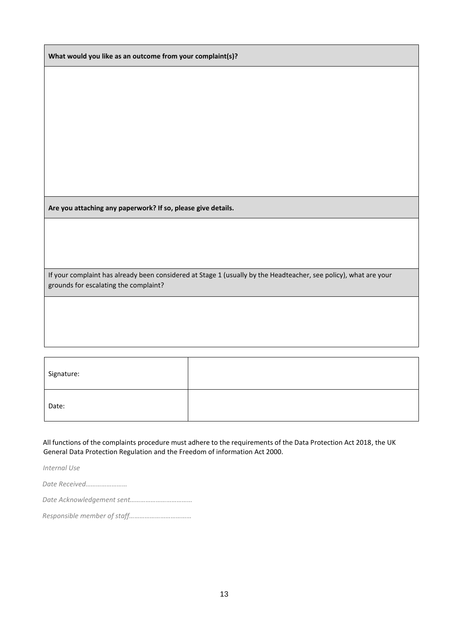**What would you like as an outcome from your complaint(s)?**

**Are you attaching any paperwork? If so, please give details.** 

If your complaint has already been considered at Stage 1 (usually by the Headteacher, see policy), what are your grounds for escalating the complaint?

| Signature: |  |
|------------|--|
| Date:      |  |

All functions of the complaints procedure must adhere to the requirements of the Data Protection Act 2018, the UK General Data Protection Regulation and the Freedom of information Act 2000.

*Internal Use* 

*Date Received……………………* 

*Date Acknowledgement sent………………………………* 

*Responsible member of staff………………………………*